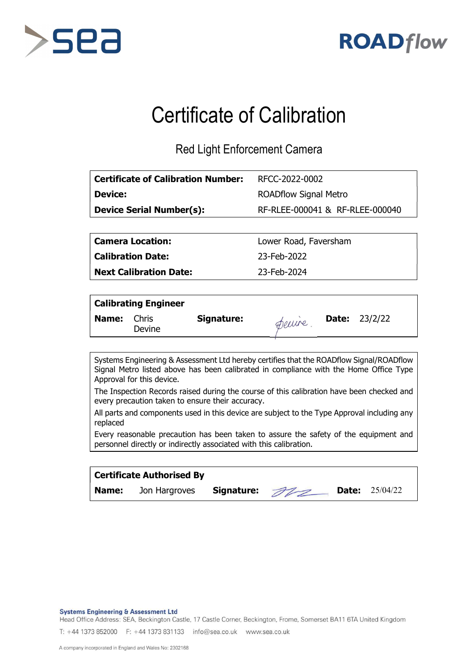



## Certificate of Calibration

Red Light Enforcement Camera

| <b>Certificate of Calibration Number:</b> | RFCC-2022-0002                  |
|-------------------------------------------|---------------------------------|
| <b>Device:</b>                            | <b>ROADflow Signal Metro</b>    |
| <b>Device Serial Number(s):</b>           | RF-RLEE-000041 & RF-RLEE-000040 |

Calibration Date: 23-Feb-2022

Next Calibration Date: 23-Feb-2024

Camera Location: Lower Road, Faversham

|       | <b>Calibrating Engineer</b> |            |       |                        |
|-------|-----------------------------|------------|-------|------------------------|
| Name: | Chris<br>Devine             | Signature: | Deuve | <b>Date:</b> $23/2/22$ |

Systems Engineering & Assessment Ltd hereby certifies that the ROADflow Signal/ROADflow Signal Metro listed above has been calibrated in compliance with the Home Office Type Approval for this device.

The Inspection Records raised during the course of this calibration have been checked and every precaution taken to ensure their accuracy.

All parts and components used in this device are subject to the Type Approval including any replaced

Every reasonable precaution has been taken to assure the safety of the equipment and personnel directly or indirectly associated with this calibration.

|              | <b>Certificate Authorised By</b> |               |  |                       |  |
|--------------|----------------------------------|---------------|--|-----------------------|--|
| <b>Name:</b> | Jon Hargroves                    | Signature: 22 |  | <b>Date:</b> 25/04/22 |  |

**Systems Engineering & Assessment Ltd** 

Head Office Address: SEA, Beckington Castle, 17 Castle Corner, Beckington, Frome, Somerset BA11 6TA United Kingdom

T: +44 1373 852000 F: +44 1373 831133 info@sea.co.uk www.sea.co.uk